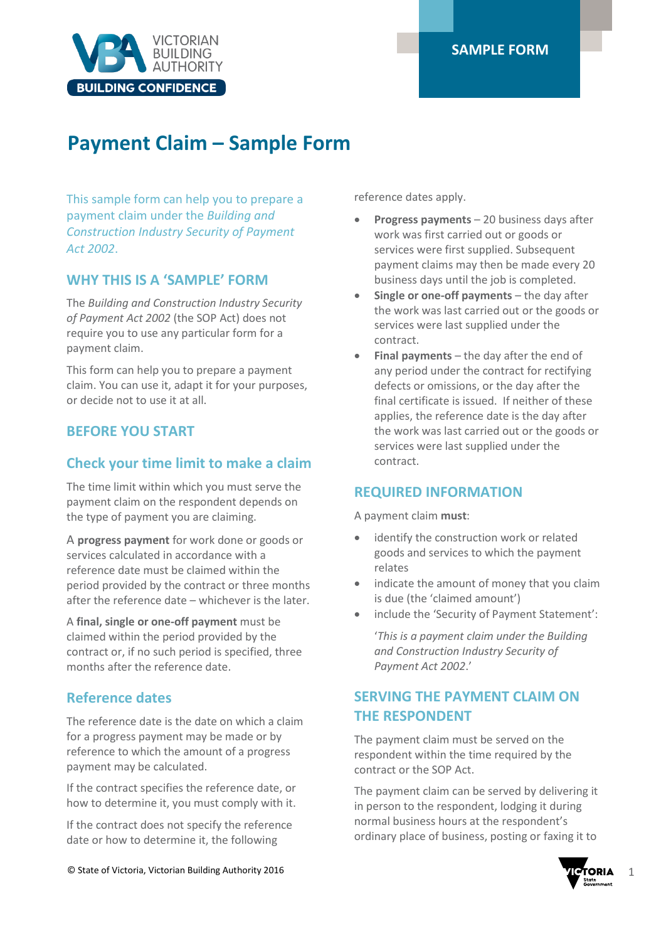

# **Payment Claim – Sample Form**

This sample form can help you to prepare a payment claim under the *Building and Construction Industry Security of Payment Act 2002*.

## **WHY THIS IS A 'SAMPLE' FORM**

The *Building and Construction Industry Security of Payment Act 2002* (the SOP Act) does not require you to use any particular form for a payment claim.

This form can help you to prepare a payment claim. You can use it, adapt it for your purposes, or decide not to use it at all.

## **BEFORE YOU START**

## **Check your time limit to make a claim**

The time limit within which you must serve the payment claim on the respondent depends on the type of payment you are claiming.

A **progress payment** for work done or goods or services calculated in accordance with a reference date must be claimed within the period provided by the contract or three months after the reference date – whichever is the later.

A **final, single or one-off payment** must be claimed within the period provided by the contract or, if no such period is specified, three months after the reference date.

## **Reference dates**

The reference date is the date on which a claim for a progress payment may be made or by reference to which the amount of a progress payment may be calculated.

If the contract specifies the reference date, or how to determine it, you must comply with it.

If the contract does not specify the reference date or how to determine it, the following

reference dates apply.

- **Progress payments** 20 business days after work was first carried out or goods or services were first supplied. Subsequent payment claims may then be made every 20 business days until the job is completed.
- **Single or one-off payments** the day after the work was last carried out or the goods or services were last supplied under the contract.
- **Final payments** the day after the end of any period under the contract for rectifying defects or omissions, or the day after the final certificate is issued. If neither of these applies, the reference date is the day after the work was last carried out or the goods or services were last supplied under the contract.

## **REQUIRED INFORMATION**

A payment claim **must**:

- identify the construction work or related goods and services to which the payment relates
- indicate the amount of money that you claim is due (the 'claimed amount')
- include the 'Security of Payment Statement':

'*This is a payment claim under the Building and Construction Industry Security of Payment Act 2002*.'

## **SERVING THE PAYMENT CLAIM ON THE RESPONDENT**

The payment claim must be served on the respondent within the time required by the contract or the SOP Act.

The payment claim can be served by delivering it in person to the respondent, lodging it during normal business hours at the respondent's ordinary place of business, posting or faxing it to

© State of Victoria, Victorian Building Authority 2016 1

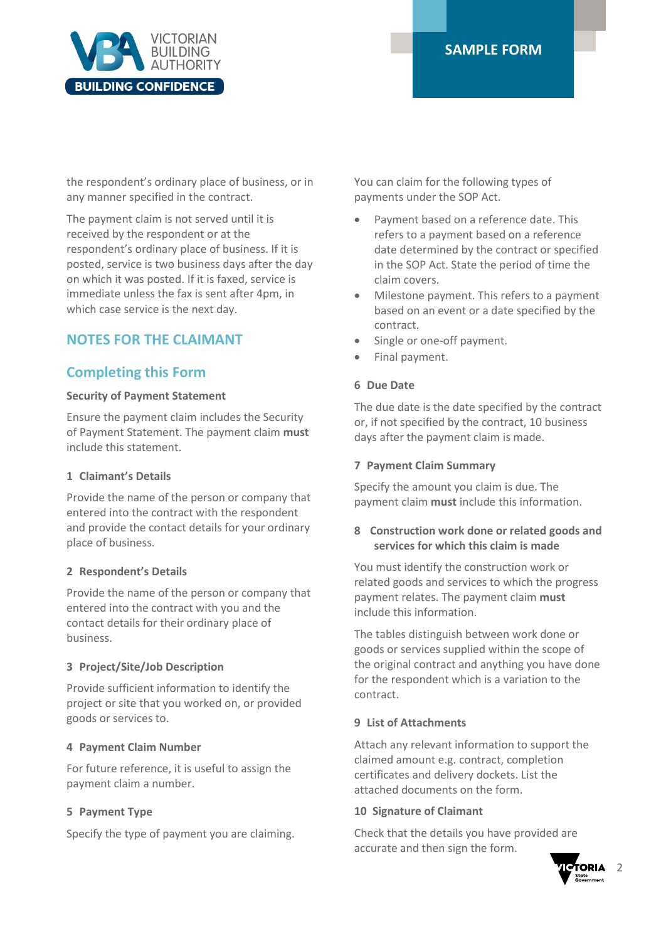

the respondent's ordinary place of business, or in any manner specified in the contract.

The payment claim is not served until it is received by the respondent or at the respondent's ordinary place of business. If it is posted, service is two business days after the day on which it was posted. If it is faxed, service is immediate unless the fax is sent after 4pm, in which case service is the next day.

## **NOTES FOR THE CLAIMANT**

## **Completing this Form**

### **Security of Payment Statement**

Ensure the payment claim includes the Security of Payment Statement. The payment claim **must** include this statement.

### **1 Claimant's Details**

Provide the name of the person or company that entered into the contract with the respondent and provide the contact details for your ordinary place of business.

### **2 Respondent's Details**

Provide the name of the person or company that entered into the contract with you and the contact details for their ordinary place of business.

### **3 Project/Site/Job Description**

Provide sufficient information to identify the project or site that you worked on, or provided goods or services to.

### **4 Payment Claim Number**

For future reference, it is useful to assign the payment claim a number.

### **5 Payment Type**

Specify the type of payment you are claiming.

You can claim for the following types of payments under the SOP Act.

- Payment based on a reference date. This refers to a payment based on a reference date determined by the contract or specified in the SOP Act. State the period of time the claim covers.
- Milestone payment. This refers to a payment based on an event or a date specified by the contract.
- Single or one-off payment.
- Final payment.

### **6 Due Date**

The due date is the date specified by the contract or, if not specified by the contract, 10 business days after the payment claim is made.

#### **7 Payment Claim Summary**

Specify the amount you claim is due. The payment claim **must** include this information.

### **8 Construction work done or related goods and services for which this claim is made**

You must identify the construction work or related goods and services to which the progress payment relates. The payment claim **must** include this information.

The tables distinguish between work done or goods or services supplied within the scope of the original contract and anything you have done for the respondent which is a variation to the contract.

#### **9 List of Attachments**

Attach any relevant information to support the claimed amount e.g. contract, completion certificates and delivery dockets. List the attached documents on the form.

### **10 Signature of Claimant**

Check that the details you have provided are accurate and then sign the form.

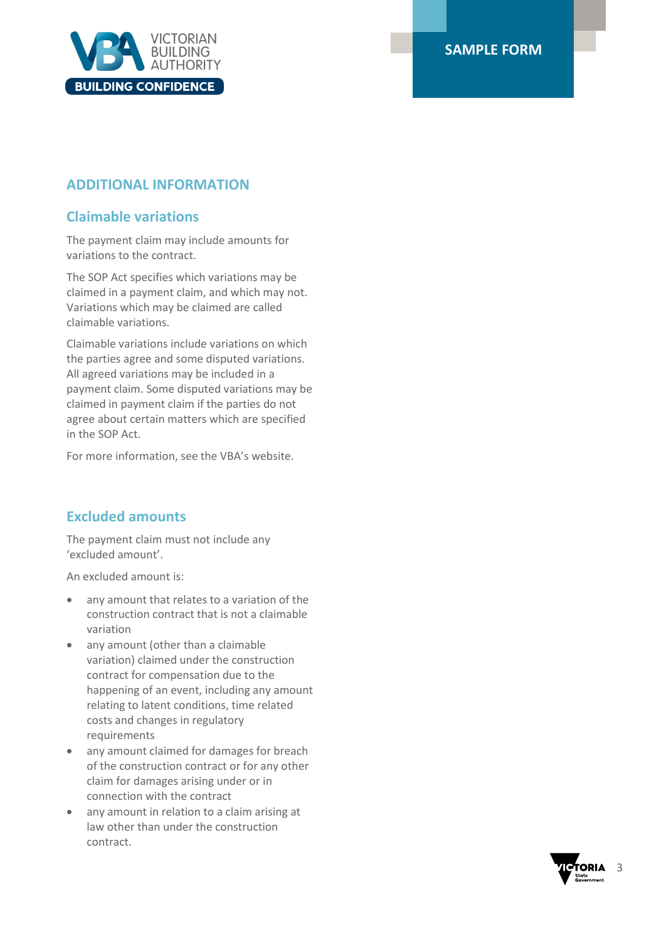

## **ADDITIONAL INFORMATION**

## **Claimable variations**

The payment claim may include amounts for variations to the contract.

The SOP Act specifies which variations may be claimed in a payment claim, and which may not. Variations which may be claimed are called claimable variations.

Claimable variations include variations on which the parties agree and some disputed variations. All agreed variations may be included in a payment claim. Some disputed variations may be claimed in payment claim if the parties do not agree about certain matters which are specified in the SOP Act.

For more information, see the VBA's website.

## **Excluded amounts**

The payment claim must not include any 'excluded amount'.

An excluded amount is:

- any amount that relates to a variation of the construction contract that is not a claimable variation
- any amount (other than a claimable variation) claimed under the construction contract for compensation due to the happening of an event, including any amount relating to latent conditions, time related costs and changes in regulatory requirements
- any amount claimed for damages for breach of the construction contract or for any other claim for damages arising under or in connection with the contract
- any amount in relation to a claim arising at law other than under the construction contract.

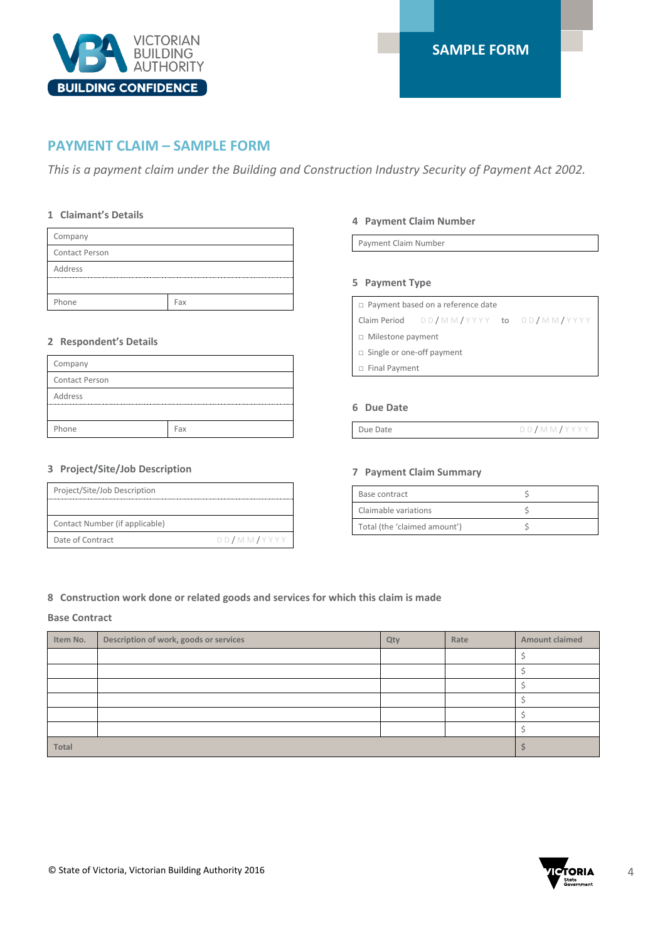

### **PAYMENT CLAIM – SAMPLE FORM**

*This is a payment claim under the Building and Construction Industry Security of Payment Act 2002.*

#### **1 Claimant's Details**

| Company        |     |
|----------------|-----|
| Contact Person |     |
| Address        |     |
|                |     |
| Phone          | Fax |

#### **2 Respondent's Details**

| Company               |     |
|-----------------------|-----|
| <b>Contact Person</b> |     |
| Address               |     |
|                       |     |
| Phone                 | Fax |
|                       |     |

#### **3 Project/Site/Job Description**

| Project/Site/Job Description   |            |
|--------------------------------|------------|
|                                |            |
| Contact Number (if applicable) |            |
| Date of Contract               | DD/MM/YYYY |

#### **4 Payment Claim Number**

Payment Claim Number

#### **5 Payment Type**

| $\Box$ Payment based on a reference date |                                           |  |  |
|------------------------------------------|-------------------------------------------|--|--|
|                                          | Claim Period $DD/MMYYYYY$ to $DD/MMYYYYY$ |  |  |
| $\Box$ Milestone payment                 |                                           |  |  |
| $\Box$ Single or one-off payment         |                                           |  |  |
| $\Box$ Final Payment                     |                                           |  |  |
|                                          |                                           |  |  |

#### **6 Due Date**

#### **7 Payment Claim Summary**

| Base contract                |  |
|------------------------------|--|
| Claimable variations         |  |
| Total (the 'claimed amount') |  |

#### **8 Construction work done or related goods and services for which this claim is made**

#### **Base Contract**

| Item No.     | Description of work, goods or services | Qty | Rate | <b>Amount claimed</b> |
|--------------|----------------------------------------|-----|------|-----------------------|
|              |                                        |     |      |                       |
|              |                                        |     |      |                       |
|              |                                        |     |      |                       |
|              |                                        |     |      |                       |
|              |                                        |     |      |                       |
|              |                                        |     |      |                       |
| <b>Total</b> |                                        |     |      |                       |